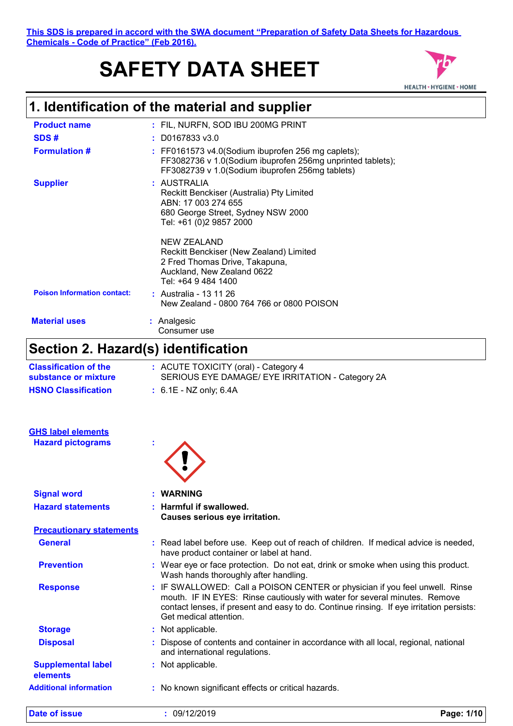**This SDS is prepared in accord with the SWA document "Preparation of Safety Data Sheets for Hazardous Chemicals - Code of Practice" (Feb 2016).**

# **SAFETY DATA SHEET**



# **1. Identification of the material and supplier**

| <b>Product name</b>                | : FIL, NURFN, SOD IBU 200MG PRINT                                                                                                                                     |
|------------------------------------|-----------------------------------------------------------------------------------------------------------------------------------------------------------------------|
| SDS#                               | $: $ D0167833 v3.0                                                                                                                                                    |
| <b>Formulation #</b>               | $:$ FF0161573 v4.0(Sodium ibuprofen 256 mg caplets);<br>FF3082736 v 1.0(Sodium ibuprofen 256mg unprinted tablets);<br>FF3082739 v 1.0(Sodium ibuprofen 256mg tablets) |
| <b>Supplier</b>                    | : AUSTRALIA<br>Reckitt Benckiser (Australia) Pty Limited<br>ABN: 17 003 274 655<br>680 George Street, Sydney NSW 2000<br>Tel: +61 (0)2 9857 2000                      |
|                                    | NEW ZEALAND<br>Reckitt Benckiser (New Zealand) Limited<br>2 Fred Thomas Drive, Takapuna,<br>Auckland, New Zealand 0622<br>Tel: +64 9 484 1400                         |
| <b>Poison Information contact:</b> | : Australia - 13 11 26<br>New Zealand - 0800 764 766 or 0800 POISON                                                                                                   |
| <b>Material uses</b>               | : Analgesic<br>Consumer use                                                                                                                                           |

# **Section 2. Hazard(s) identification**

| <b>Date of issue</b>                                  | : 09/12/2019                                                                                                                                                                                                                                                                    | Page: 1/10 |  |
|-------------------------------------------------------|---------------------------------------------------------------------------------------------------------------------------------------------------------------------------------------------------------------------------------------------------------------------------------|------------|--|
| <b>Additional information</b>                         | : No known significant effects or critical hazards.                                                                                                                                                                                                                             |            |  |
| <b>Supplemental label</b><br>elements                 | : Not applicable.                                                                                                                                                                                                                                                               |            |  |
| <b>Disposal</b>                                       | Dispose of contents and container in accordance with all local, regional, national<br>and international regulations.                                                                                                                                                            |            |  |
| <b>Storage</b>                                        | : Not applicable.                                                                                                                                                                                                                                                               |            |  |
| <b>Response</b>                                       | : IF SWALLOWED: Call a POISON CENTER or physician if you feel unwell. Rinse<br>mouth. IF IN EYES: Rinse cautiously with water for several minutes. Remove<br>contact lenses, if present and easy to do. Continue rinsing. If eye irritation persists:<br>Get medical attention. |            |  |
| <b>Prevention</b>                                     | : Wear eye or face protection. Do not eat, drink or smoke when using this product.<br>Wash hands thoroughly after handling.                                                                                                                                                     |            |  |
| <b>General</b>                                        | : Read label before use. Keep out of reach of children. If medical advice is needed,<br>have product container or label at hand.                                                                                                                                                |            |  |
| <b>Precautionary statements</b>                       |                                                                                                                                                                                                                                                                                 |            |  |
| <b>Hazard statements</b>                              | Causes serious eye irritation.                                                                                                                                                                                                                                                  |            |  |
| <b>Signal word</b>                                    | <b>WARNING</b><br><b>Harmful if swallowed.</b>                                                                                                                                                                                                                                  |            |  |
| <b>GHS label elements</b><br><b>Hazard pictograms</b> |                                                                                                                                                                                                                                                                                 |            |  |
| <b>HSNO Classification</b>                            | $: 6.1E - NZ$ only; 6.4A                                                                                                                                                                                                                                                        |            |  |
| <b>Classification of the</b><br>substance or mixture  | : ACUTE TOXICITY (oral) - Category 4<br>SERIOUS EYE DAMAGE/ EYE IRRITATION - Category 2A                                                                                                                                                                                        |            |  |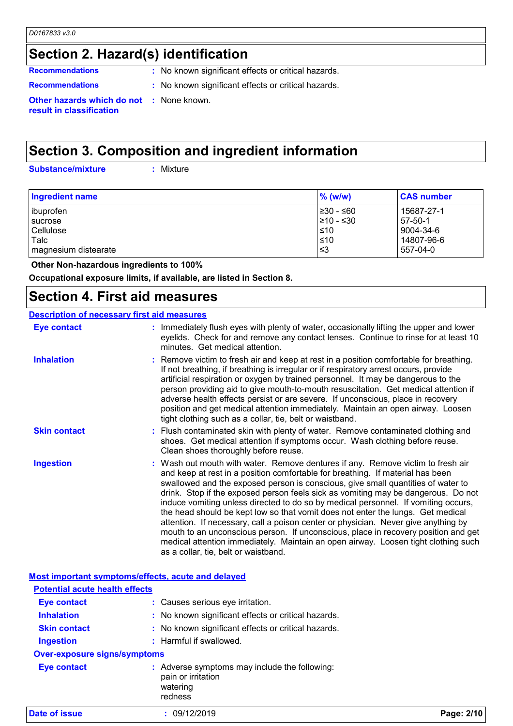### **Section 2. Hazard(s) identification**

**Recommendations** : No known significant effects or critical hazards.

- 
- **Recommendations :** No known significant effects or critical hazards.

**Other hazards which do not :** None known. **result in classification**

### **Section 3. Composition and ingredient information**

**Substance/mixture :**

: Mixture

| <b>Ingredient name</b> | $%$ (w/w)       | <b>CAS number</b> |
|------------------------|-----------------|-------------------|
| ibuprofen              | 1≥30 - ≤60      | 15687-27-1        |
| sucrose                | $\geq 10 - 530$ | $57-50-1$         |
| Cellulose              | ≤10             | 9004-34-6         |
| Talc                   | $\leq 10$       | 14807-96-6        |
| magnesium distearate   | '≤3             | 557-04-0          |

 **Other Non-hazardous ingredients to 100%**

**Occupational exposure limits, if available, are listed in Section 8.**

### **Section 4. First aid measures**

#### **Description of necessary first aid measures**

| <b>Eye contact</b>                                 | : Immediately flush eyes with plenty of water, occasionally lifting the upper and lower<br>eyelids. Check for and remove any contact lenses. Continue to rinse for at least 10<br>minutes. Get medical attention.                                                                                                                                                                                                                                                                                                                                                                                                                                                                                                                                                                                                             |  |
|----------------------------------------------------|-------------------------------------------------------------------------------------------------------------------------------------------------------------------------------------------------------------------------------------------------------------------------------------------------------------------------------------------------------------------------------------------------------------------------------------------------------------------------------------------------------------------------------------------------------------------------------------------------------------------------------------------------------------------------------------------------------------------------------------------------------------------------------------------------------------------------------|--|
| <b>Inhalation</b>                                  | : Remove victim to fresh air and keep at rest in a position comfortable for breathing.<br>If not breathing, if breathing is irregular or if respiratory arrest occurs, provide<br>artificial respiration or oxygen by trained personnel. It may be dangerous to the<br>person providing aid to give mouth-to-mouth resuscitation. Get medical attention if<br>adverse health effects persist or are severe. If unconscious, place in recovery<br>position and get medical attention immediately. Maintain an open airway. Loosen<br>tight clothing such as a collar, tie, belt or waistband.                                                                                                                                                                                                                                  |  |
| <b>Skin contact</b>                                | : Flush contaminated skin with plenty of water. Remove contaminated clothing and<br>shoes. Get medical attention if symptoms occur. Wash clothing before reuse.<br>Clean shoes thoroughly before reuse.                                                                                                                                                                                                                                                                                                                                                                                                                                                                                                                                                                                                                       |  |
| <b>Ingestion</b>                                   | : Wash out mouth with water. Remove dentures if any. Remove victim to fresh air<br>and keep at rest in a position comfortable for breathing. If material has been<br>swallowed and the exposed person is conscious, give small quantities of water to<br>drink. Stop if the exposed person feels sick as vomiting may be dangerous. Do not<br>induce vomiting unless directed to do so by medical personnel. If vomiting occurs,<br>the head should be kept low so that vomit does not enter the lungs. Get medical<br>attention. If necessary, call a poison center or physician. Never give anything by<br>mouth to an unconscious person. If unconscious, place in recovery position and get<br>medical attention immediately. Maintain an open airway. Loosen tight clothing such<br>as a collar, tie, belt or waistband. |  |
| Most important symptoms/effects, acute and delayed |                                                                                                                                                                                                                                                                                                                                                                                                                                                                                                                                                                                                                                                                                                                                                                                                                               |  |
| <b>Potential acute health effects</b>              |                                                                                                                                                                                                                                                                                                                                                                                                                                                                                                                                                                                                                                                                                                                                                                                                                               |  |
| <b>Eve contact</b>                                 | Causes serious eve irritation.                                                                                                                                                                                                                                                                                                                                                                                                                                                                                                                                                                                                                                                                                                                                                                                                |  |

**Inhalation :** No known significant effects or critical hazards.

**Skin contact :** No known significant effects or critical hazards.

**Ingestion :** Harmful if swallowed.

**Over-exposure signs/symptoms**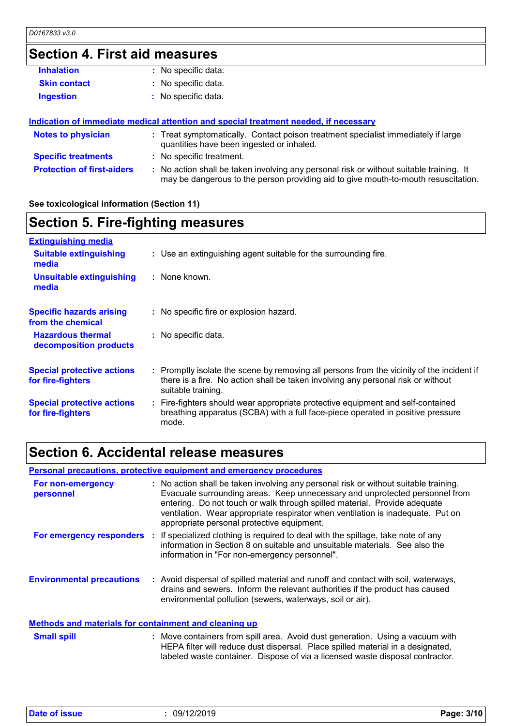## **Section 4. First aid measures**

| <b>Inhalation</b>                 | : No specific data.                                                                                                                                                           |
|-----------------------------------|-------------------------------------------------------------------------------------------------------------------------------------------------------------------------------|
| <b>Skin contact</b>               | : No specific data.                                                                                                                                                           |
| <b>Ingestion</b>                  | : No specific data.                                                                                                                                                           |
|                                   |                                                                                                                                                                               |
|                                   | Indication of immediate medical attention and special treatment needed, if necessary                                                                                          |
| <b>Notes to physician</b>         | : Treat symptomatically. Contact poison treatment specialist immediately if large<br>quantities have been ingested or inhaled.                                                |
| <b>Specific treatments</b>        | : No specific treatment.                                                                                                                                                      |
| <b>Protection of first-aiders</b> | : No action shall be taken involving any personal risk or without suitable training. It<br>may be dangerous to the person providing aid to give mouth-to-mouth resuscitation. |

#### **See toxicological information (Section 11)**

### **Section 5. Fire-fighting measures**

| <b>Extinguishing media</b>                             |                                                                                                                                                                                                     |
|--------------------------------------------------------|-----------------------------------------------------------------------------------------------------------------------------------------------------------------------------------------------------|
| <b>Suitable extinguishing</b><br>media                 | : Use an extinguishing agent suitable for the surrounding fire.                                                                                                                                     |
| <b>Unsuitable extinguishing</b><br>media               | : None known.                                                                                                                                                                                       |
| <b>Specific hazards arising</b><br>from the chemical   | : No specific fire or explosion hazard.                                                                                                                                                             |
| <b>Hazardous thermal</b><br>decomposition products     | : No specific data.                                                                                                                                                                                 |
| <b>Special protective actions</b><br>for fire-fighters | : Promptly isolate the scene by removing all persons from the vicinity of the incident if<br>there is a fire. No action shall be taken involving any personal risk or without<br>suitable training. |
| <b>Special protective actions</b><br>for fire-fighters | : Fire-fighters should wear appropriate protective equipment and self-contained<br>breathing apparatus (SCBA) with a full face-piece operated in positive pressure<br>mode.                         |

### **Section 6. Accidental release measures**

|                                                              | <b>Personal precautions, protective equipment and emergency procedures</b>                                                                                                                                                                                                                                                                                                        |
|--------------------------------------------------------------|-----------------------------------------------------------------------------------------------------------------------------------------------------------------------------------------------------------------------------------------------------------------------------------------------------------------------------------------------------------------------------------|
| For non-emergency<br>personnel                               | : No action shall be taken involving any personal risk or without suitable training.<br>Evacuate surrounding areas. Keep unnecessary and unprotected personnel from<br>entering. Do not touch or walk through spilled material. Provide adequate<br>ventilation. Wear appropriate respirator when ventilation is inadequate. Put on<br>appropriate personal protective equipment. |
| For emergency responders :                                   | If specialized clothing is required to deal with the spillage, take note of any<br>information in Section 8 on suitable and unsuitable materials. See also the<br>information in "For non-emergency personnel".                                                                                                                                                                   |
| <b>Environmental precautions</b>                             | : Avoid dispersal of spilled material and runoff and contact with soil, waterways,<br>drains and sewers. Inform the relevant authorities if the product has caused<br>environmental pollution (sewers, waterways, soil or air).                                                                                                                                                   |
| <b>Methods and materials for containment and cleaning up</b> |                                                                                                                                                                                                                                                                                                                                                                                   |

#### Move containers from spill area. Avoid dust generation. Using a vacuum with HEPA filter will reduce dust dispersal. Place spilled material in a designated, labeled waste container. Dispose of via a licensed waste disposal contractor. **Small spill :**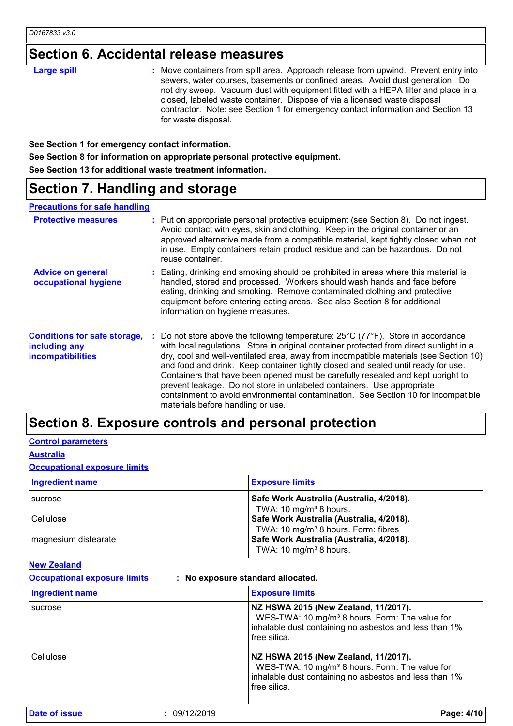## **Section 6. Accidental release measures**

| <b>Large spill</b> | : Move containers from spill area. Approach release from upwind. Prevent entry into<br>sewers, water courses, basements or confined areas. Avoid dust generation. Do<br>not dry sweep. Vacuum dust with equipment fitted with a HEPA filter and place in a<br>closed, labeled waste container. Dispose of via a licensed waste disposal<br>contractor. Note: see Section 1 for emergency contact information and Section 13<br>for waste disposal. |
|--------------------|----------------------------------------------------------------------------------------------------------------------------------------------------------------------------------------------------------------------------------------------------------------------------------------------------------------------------------------------------------------------------------------------------------------------------------------------------|
|--------------------|----------------------------------------------------------------------------------------------------------------------------------------------------------------------------------------------------------------------------------------------------------------------------------------------------------------------------------------------------------------------------------------------------------------------------------------------------|

**See Section 1 for emergency contact information.**

**See Section 8 for information on appropriate personal protective equipment.**

**See Section 13 for additional waste treatment information.**

### **Section 7. Handling and storage**

#### **Precautions for safe handling**

| <b>Protective measures</b>                                                | : Put on appropriate personal protective equipment (see Section 8). Do not ingest.<br>Avoid contact with eyes, skin and clothing. Keep in the original container or an<br>approved alternative made from a compatible material, kept tightly closed when not<br>in use. Empty containers retain product residue and can be hazardous. Do not<br>reuse container.                                                                                                                                                                                                                                                                                                    |
|---------------------------------------------------------------------------|---------------------------------------------------------------------------------------------------------------------------------------------------------------------------------------------------------------------------------------------------------------------------------------------------------------------------------------------------------------------------------------------------------------------------------------------------------------------------------------------------------------------------------------------------------------------------------------------------------------------------------------------------------------------|
| <b>Advice on general</b><br>occupational hygiene                          | : Eating, drinking and smoking should be prohibited in areas where this material is<br>handled, stored and processed. Workers should wash hands and face before<br>eating, drinking and smoking. Remove contaminated clothing and protective<br>equipment before entering eating areas. See also Section 8 for additional<br>information on hygiene measures.                                                                                                                                                                                                                                                                                                       |
| <b>Conditions for safe storage,</b><br>including any<br>incompatibilities | Do not store above the following temperature: $25^{\circ}$ C (77 $^{\circ}$ F). Store in accordance<br>with local regulations. Store in original container protected from direct sunlight in a<br>dry, cool and well-ventilated area, away from incompatible materials (see Section 10)<br>and food and drink. Keep container tightly closed and sealed until ready for use.<br>Containers that have been opened must be carefully resealed and kept upright to<br>prevent leakage. Do not store in unlabeled containers. Use appropriate<br>containment to avoid environmental contamination. See Section 10 for incompatible<br>materials before handling or use. |

### **Section 8. Exposure controls and personal protection**

#### **Control parameters**

**Australia**

**Occupational exposure limits**

| <b>Ingredient name</b> | <b>Exposure limits</b>                                                                                                            |
|------------------------|-----------------------------------------------------------------------------------------------------------------------------------|
| <b>Sucrose</b>         | Safe Work Australia (Australia, 4/2018).<br>TWA: 10 mg/m <sup>3</sup> 8 hours.                                                    |
| Cellulose              | Safe Work Australia (Australia, 4/2018).                                                                                          |
| magnesium distearate   | TWA: 10 mg/m <sup>3</sup> 8 hours. Form: fibres<br>Safe Work Australia (Australia, 4/2018).<br>TWA: 10 mg/m <sup>3</sup> 8 hours. |

#### **New Zealand**

**Occupational exposure limits : No exposure standard allocated.**

| <b>Ingredient name</b> |              | <b>Exposure limits</b>                                                                                                                                                       |
|------------------------|--------------|------------------------------------------------------------------------------------------------------------------------------------------------------------------------------|
| sucrose                |              | NZ HSWA 2015 (New Zealand, 11/2017).<br>WES-TWA: 10 mg/m <sup>3</sup> 8 hours. Form: The value for<br>inhalable dust containing no asbestos and less than 1%<br>free silica. |
| Cellulose              |              | NZ HSWA 2015 (New Zealand, 11/2017).<br>WES-TWA: 10 mg/m <sup>3</sup> 8 hours. Form: The value for<br>inhalable dust containing no asbestos and less than 1%<br>free silica. |
| <b>Date of issue</b>   | : 09/12/2019 | Page: 4/10                                                                                                                                                                   |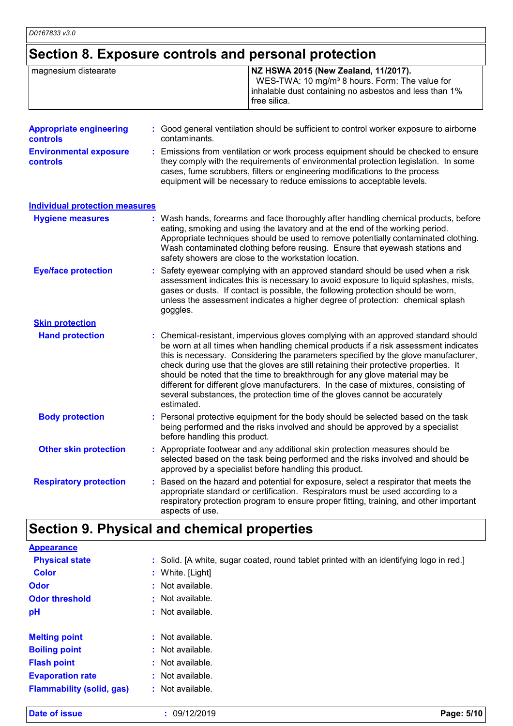$\mathbf{I}$ 

## **Section 8. Exposure controls and personal protection**

| magnesium distearate           | NZ HSWA 2015 (New Zealand, 11/2017).<br>WES-TWA: 10 mg/m <sup>3</sup> 8 hours. Form: The value for<br>inhalable dust containing no asbestos and less than 1%<br>free silica. |
|--------------------------------|------------------------------------------------------------------------------------------------------------------------------------------------------------------------------|
| <b>Appropriate engineering</b> | : Good general ventilation should be sufficient to control worker exposure to airborne                                                                                       |

| <b>controls</b>                                  | contaminants.                                                                                                                                                                                                                                                                                                                   |
|--------------------------------------------------|---------------------------------------------------------------------------------------------------------------------------------------------------------------------------------------------------------------------------------------------------------------------------------------------------------------------------------|
| <b>Environmental exposure</b><br><b>controls</b> | : Emissions from ventilation or work process equipment should be checked to ensure<br>they comply with the requirements of environmental protection legislation. In some<br>cases, fume scrubbers, filters or engineering modifications to the process<br>equipment will be necessary to reduce emissions to acceptable levels. |

| <b>Hygiene measures</b>       | : Wash hands, forearms and face thoroughly after handling chemical products, before<br>eating, smoking and using the lavatory and at the end of the working period.<br>Appropriate techniques should be used to remove potentially contaminated clothing.<br>Wash contaminated clothing before reusing. Ensure that eyewash stations and<br>safety showers are close to the workstation location.                                                                                                                                                                                                                         |
|-------------------------------|---------------------------------------------------------------------------------------------------------------------------------------------------------------------------------------------------------------------------------------------------------------------------------------------------------------------------------------------------------------------------------------------------------------------------------------------------------------------------------------------------------------------------------------------------------------------------------------------------------------------------|
| <b>Eye/face protection</b>    | : Safety eyewear complying with an approved standard should be used when a risk<br>assessment indicates this is necessary to avoid exposure to liquid splashes, mists,<br>gases or dusts. If contact is possible, the following protection should be worn,<br>unless the assessment indicates a higher degree of protection: chemical splash<br>goggles.                                                                                                                                                                                                                                                                  |
| <b>Skin protection</b>        |                                                                                                                                                                                                                                                                                                                                                                                                                                                                                                                                                                                                                           |
| <b>Hand protection</b>        | : Chemical-resistant, impervious gloves complying with an approved standard should<br>be worn at all times when handling chemical products if a risk assessment indicates<br>this is necessary. Considering the parameters specified by the glove manufacturer,<br>check during use that the gloves are still retaining their protective properties. It<br>should be noted that the time to breakthrough for any glove material may be<br>different for different glove manufacturers. In the case of mixtures, consisting of<br>several substances, the protection time of the gloves cannot be accurately<br>estimated. |
| <b>Body protection</b>        | : Personal protective equipment for the body should be selected based on the task<br>being performed and the risks involved and should be approved by a specialist<br>before handling this product.                                                                                                                                                                                                                                                                                                                                                                                                                       |
| <b>Other skin protection</b>  | : Appropriate footwear and any additional skin protection measures should be<br>selected based on the task being performed and the risks involved and should be<br>approved by a specialist before handling this product.                                                                                                                                                                                                                                                                                                                                                                                                 |
| <b>Respiratory protection</b> | Based on the hazard and potential for exposure, select a respirator that meets the<br>appropriate standard or certification. Respirators must be used according to a<br>respiratory protection program to ensure proper fitting, training, and other important<br>aspects of use.                                                                                                                                                                                                                                                                                                                                         |

## **Section 9. Physical and chemical properties**

| Date of issue                    | : 09/12/2019                                                                            | Page: 5/10 |
|----------------------------------|-----------------------------------------------------------------------------------------|------------|
| <b>Flammability (solid, gas)</b> | : Not available.                                                                        |            |
| <b>Evaporation rate</b>          | : Not available.                                                                        |            |
| <b>Flash point</b>               | : Not available.                                                                        |            |
| <b>Boiling point</b>             | : Not available.                                                                        |            |
| <b>Melting point</b>             | $:$ Not available.                                                                      |            |
| pH                               | : Not available.                                                                        |            |
| <b>Odor threshold</b>            | $:$ Not available.                                                                      |            |
| <b>Odor</b>                      | : Not available.                                                                        |            |
| <b>Color</b>                     | : White. [Light]                                                                        |            |
| <b>Physical state</b>            | : Solid. [A white, sugar coated, round tablet printed with an identifying logo in red.] |            |
| <b>Appearance</b>                |                                                                                         |            |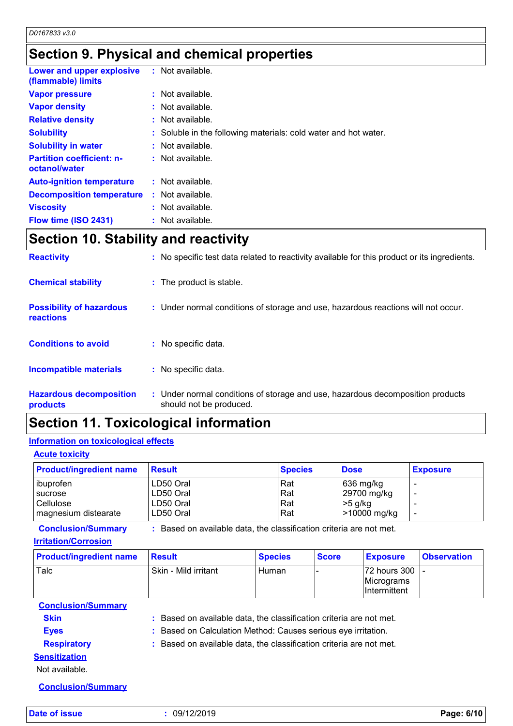## **Section 9. Physical and chemical properties**

| Lower and upper explosive<br>(flammable) limits   | $:$ Not available.                                              |
|---------------------------------------------------|-----------------------------------------------------------------|
| <b>Vapor pressure</b>                             | : Not available.                                                |
| <b>Vapor density</b>                              | $:$ Not available.                                              |
| <b>Relative density</b>                           | $:$ Not available.                                              |
| <b>Solubility</b>                                 | : Soluble in the following materials: cold water and hot water. |
| <b>Solubility in water</b>                        | $:$ Not available.                                              |
| <b>Partition coefficient: n-</b><br>octanol/water | $:$ Not available.                                              |
| <b>Auto-ignition temperature</b>                  | $:$ Not available.                                              |
| <b>Decomposition temperature</b>                  | $:$ Not available.                                              |
| <b>Viscosity</b>                                  | $:$ Not available.                                              |
| Flow time (ISO 2431)                              | : Not available.                                                |

### **Section 10. Stability and reactivity**

| <b>Reactivity</b>                            | : No specific test data related to reactivity available for this product or its ingredients.              |
|----------------------------------------------|-----------------------------------------------------------------------------------------------------------|
| <b>Chemical stability</b>                    | : The product is stable.                                                                                  |
| <b>Possibility of hazardous</b><br>reactions | : Under normal conditions of storage and use, hazardous reactions will not occur.                         |
| <b>Conditions to avoid</b>                   | : No specific data.                                                                                       |
| <b>Incompatible materials</b>                | : No specific data.                                                                                       |
| <b>Hazardous decomposition</b><br>products   | : Under normal conditions of storage and use, hazardous decomposition products<br>should not be produced. |

### **Section 11. Toxicological information**

#### **Information on toxicological effects**

#### **Acute toxicity**

| <b>Product/ingredient name</b> | <b>Result</b> | <b>Species</b> | <b>Dose</b>  | <b>Exposure</b> |
|--------------------------------|---------------|----------------|--------------|-----------------|
| ibuprofen                      | LD50 Oral     | Rat            | 636 mg/kg    |                 |
| sucrose                        | LD50 Oral     | Rat            | 29700 mg/kg  |                 |
| Cellulose                      | LD50 Oral     | Rat            | >5 g/kg      |                 |
| magnesium distearate           | LD50 Oral     | Rat            | >10000 mg/kg |                 |

**Conclusion/Summary :** Based on available data, the classification criteria are not met.

#### **Irritation/Corrosion**

| <b>Product/ingredient name</b> | Result               | <b>Species</b> | <b>Score</b> | <b>Exposure</b>                   | <b>Observation</b> |
|--------------------------------|----------------------|----------------|--------------|-----------------------------------|--------------------|
| Talc                           | Skin - Mild irritant | Human          |              | 72 hours 300<br><b>Micrograms</b> |                    |
|                                |                      |                |              | Intermittent                      |                    |

**Conclusion/Summary**

**Skin Example 20 :** Based on available data, the classification criteria are not met.

**Eyes :** Based on Calculation Method: Causes serious eye irritation. **Respiratory :** Based on available data, the classification criteria are not met.

#### **Sensitization**

Not available.

**Conclusion/Summary**

**Date of issue :** 09/12/2019 **Page: 6/10**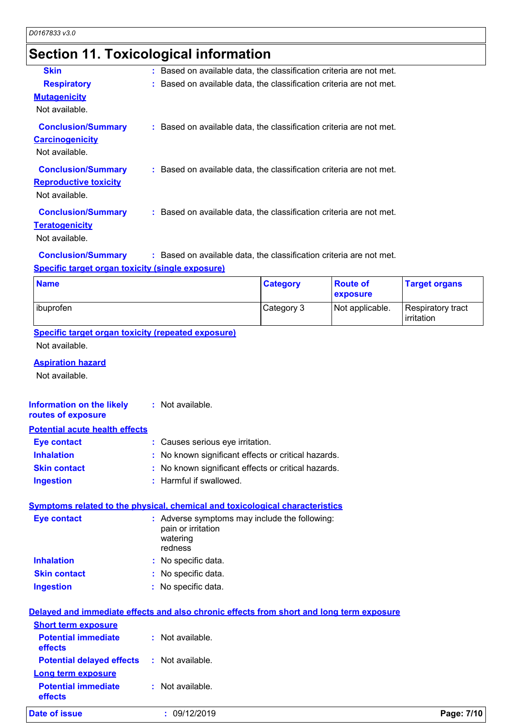# **Section 11. Toxicological information**

| <b>Skin</b>                                             | : Based on available data, the classification criteria are not met. |          |                 |     |
|---------------------------------------------------------|---------------------------------------------------------------------|----------|-----------------|-----|
| <b>Respiratory</b>                                      | : Based on available data, the classification criteria are not met. |          |                 |     |
| <b>Mutagenicity</b>                                     |                                                                     |          |                 |     |
| Not available.                                          |                                                                     |          |                 |     |
| <b>Conclusion/Summary</b>                               | : Based on available data, the classification criteria are not met. |          |                 |     |
| <b>Carcinogenicity</b>                                  |                                                                     |          |                 |     |
| Not available.                                          |                                                                     |          |                 |     |
| <b>Conclusion/Summary</b>                               | : Based on available data, the classification criteria are not met. |          |                 |     |
| <b>Reproductive toxicity</b>                            |                                                                     |          |                 |     |
| Not available.                                          |                                                                     |          |                 |     |
| <b>Conclusion/Summary</b>                               | : Based on available data, the classification criteria are not met. |          |                 |     |
| <b>Teratogenicity</b>                                   |                                                                     |          |                 |     |
| Not available.                                          |                                                                     |          |                 |     |
| <b>Conclusion/Summary</b>                               | : Based on available data, the classification criteria are not met. |          |                 |     |
| <b>Specific target organ toxicity (single exposure)</b> |                                                                     |          |                 |     |
| <b>Name</b>                                             |                                                                     | Category | <b>Route of</b> | Tar |

| <b>Name</b> | <b>Category</b> | <b>Route of</b><br><b>exposure</b> | <b>Target organs</b>            |
|-------------|-----------------|------------------------------------|---------------------------------|
| ibuprofen   | Category 3      | Not applicable.                    | Respiratory tract<br>irritation |

**Specific target organ toxicity (repeated exposure)** Not available.

#### **Aspiration hazard**

Not available.

| Information on the likely<br>routes of exposure | : Not available.                                    |
|-------------------------------------------------|-----------------------------------------------------|
| <b>Potential acute health effects</b>           |                                                     |
| Eye contact                                     | : Causes serious eye irritation.                    |
| <b>Inhalation</b>                               | : No known significant effects or critical hazards. |
| <b>Skin contact</b>                             | : No known significant effects or critical hazards. |
| <b>Ingestion</b>                                | : Harmful if swallowed.                             |

#### **Symptoms related to the physical, chemical and toxicological characteristics**

| Eye contact         | : Adverse symptoms may include the following:<br>pain or irritation<br>watering<br>redness |
|---------------------|--------------------------------------------------------------------------------------------|
| <b>Inhalation</b>   | : No specific data.                                                                        |
| <b>Skin contact</b> | : No specific data.                                                                        |
| <b>Ingestion</b>    | : No specific data.                                                                        |

|  | Delayed and immediate effects and also chronic effects from short and long term exposure |  |  |  |  |  |
|--|------------------------------------------------------------------------------------------|--|--|--|--|--|
|  | <b>Short ferm exposure</b>                                                               |  |  |  |  |  |

| Date of issue                                     | : 09/12/2019     | Page: 7/10 |
|---------------------------------------------------|------------------|------------|
| <b>Potential immediate</b><br>effects             | : Not available. |            |
| Long term exposure                                |                  |            |
| <b>Potential delayed effects : Not available.</b> |                  |            |
| <b>Potential immediate</b><br>effects             | : Not available. |            |
| <u>SHOIL LEITH EXPOSURE</u>                       |                  |            |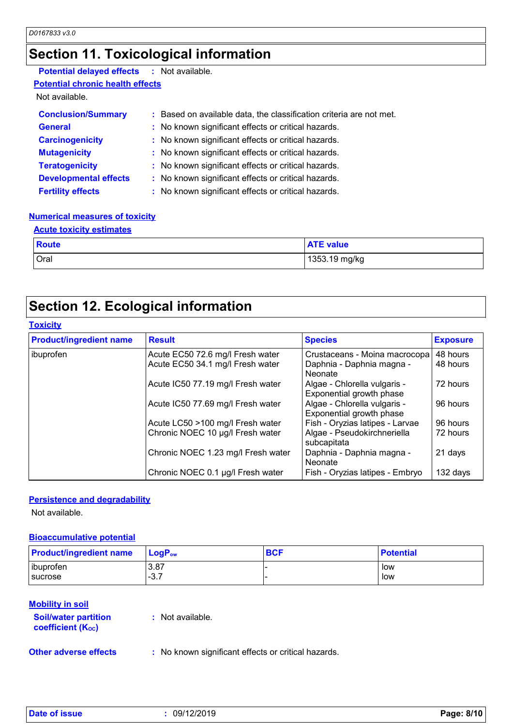### **Section 11. Toxicological information**

### **Potential delayed effects :** Not available.

**Potential chronic health effects**

Not available.

| <b>Conclusion/Summary</b>    | : Based on available data, the classification criteria are not met. |
|------------------------------|---------------------------------------------------------------------|
| <b>General</b>               | : No known significant effects or critical hazards.                 |
| <b>Carcinogenicity</b>       | : No known significant effects or critical hazards.                 |
| <b>Mutagenicity</b>          | : No known significant effects or critical hazards.                 |
| <b>Teratogenicity</b>        | : No known significant effects or critical hazards.                 |
| <b>Developmental effects</b> | : No known significant effects or critical hazards.                 |
| <b>Fertility effects</b>     | : No known significant effects or critical hazards.                 |

#### **Numerical measures of toxicity**

| <b>Acute toxicity estimates</b> |                  |  |  |  |
|---------------------------------|------------------|--|--|--|
| <b>Route</b>                    | <b>ATE</b> value |  |  |  |
| Oral                            | 1353.19 mg/kg    |  |  |  |

### **Section 12. Ecological information**

#### **Toxicity**

| <b>Product/ingredient name</b> | <b>Result</b>                      | <b>Species</b>                                           | <b>Exposure</b> |
|--------------------------------|------------------------------------|----------------------------------------------------------|-----------------|
| ibuprofen                      | Acute EC50 72.6 mg/l Fresh water   | Crustaceans - Moina macrocopa                            | 48 hours        |
|                                | Acute EC50 34.1 mg/l Fresh water   | Daphnia - Daphnia magna -<br><b>Neonate</b>              | 48 hours        |
|                                | Acute IC50 77.19 mg/l Fresh water  | Algae - Chlorella vulgaris -<br>Exponential growth phase | 72 hours        |
|                                | Acute IC50 77.69 mg/l Fresh water  | Algae - Chlorella vulgaris -<br>Exponential growth phase | 96 hours        |
|                                | Acute LC50 >100 mg/l Fresh water   | Fish - Oryzias latipes - Larvae                          | 96 hours        |
|                                | Chronic NOEC 10 µg/l Fresh water   | Algae - Pseudokirchneriella<br>subcapitata               | 72 hours        |
|                                | Chronic NOEC 1.23 mg/l Fresh water | Daphnia - Daphnia magna -<br>Neonate                     | 21 days         |
|                                | Chronic NOEC 0.1 µg/l Fresh water  | Fish - Oryzias latipes - Embryo                          | 132 days        |

#### **Persistence and degradability**

Not available.

#### **Bioaccumulative potential**

| <b>Product/ingredient name</b> | $\blacksquare$ LogP <sub>ow</sub> | <b>BCF</b> | <b>Potential</b> |
|--------------------------------|-----------------------------------|------------|------------------|
| libuprofen                     | $-3.87$                           |            | low              |
| <b>I</b> sucrose               | 27<br>. ت-                        |            | low              |

#### **Mobility in soil**

| <b>Soil/water partition</b><br><b>coefficient (Koc)</b> | : Not available. |  |
|---------------------------------------------------------|------------------|--|
|                                                         |                  |  |

**Other adverse effects** : No known significant effects or critical hazards.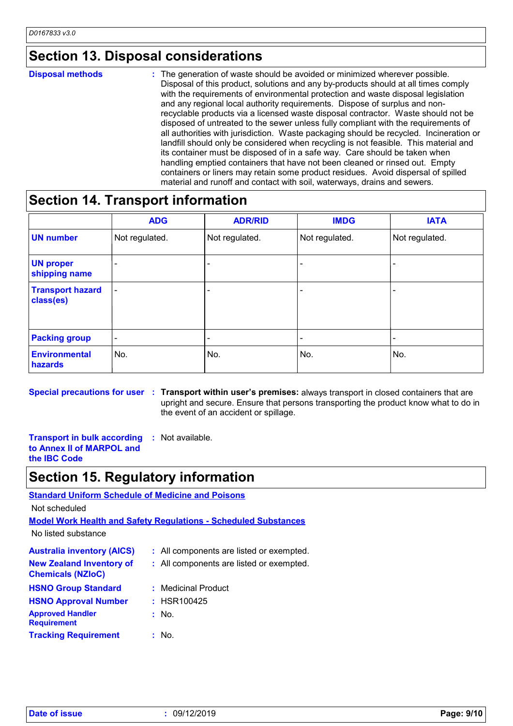### **Section 13. Disposal considerations**

#### The generation of waste should be avoided or minimized wherever possible. Disposal of this product, solutions and any by-products should at all times comply with the requirements of environmental protection and waste disposal legislation and any regional local authority requirements. Dispose of surplus and nonrecyclable products via a licensed waste disposal contractor. Waste should not be disposed of untreated to the sewer unless fully compliant with the requirements of all authorities with jurisdiction. Waste packaging should be recycled. Incineration or landfill should only be considered when recycling is not feasible. This material and its container must be disposed of in a safe way. Care should be taken when handling emptied containers that have not been cleaned or rinsed out. Empty containers or liners may retain some product residues. Avoid dispersal of spilled material and runoff and contact with soil, waterways, drains and sewers. **Disposal methods :**

### **Section 14. Transport information**

|                                      | <b>ADG</b>               | <b>ADR/RID</b> | <b>IMDG</b>    | <b>IATA</b>              |
|--------------------------------------|--------------------------|----------------|----------------|--------------------------|
| <b>UN number</b>                     | Not regulated.           | Not regulated. | Not regulated. | Not regulated.           |
| <b>UN proper</b><br>shipping name    |                          |                |                | $\overline{\phantom{0}}$ |
| <b>Transport hazard</b><br>class(es) | $\overline{\phantom{a}}$ |                |                | $\overline{\phantom{0}}$ |
| <b>Packing group</b>                 | $\overline{\phantom{a}}$ | ٠              | ٠              |                          |
| <b>Environmental</b><br>hazards      | No.                      | No.            | No.            | No.                      |

**Special precautions for user Transport within user's premises:** always transport in closed containers that are **:** upright and secure. Ensure that persons transporting the product know what to do in the event of an accident or spillage.

**Transport in bulk according :** Not available. **to Annex II of MARPOL and the IBC Code**

### **Section 15. Regulatory information**

### **Australia inventory (AICS) :** All components are listed or exempted. **Standard Uniform Schedule of Medicine and Poisons Model Work Health and Safety Regulations - Scheduled Substances** No listed substance Not scheduled **New Zealand Inventory of Chemicals (NZIoC) :** All components are listed or exempted. **HSNO Group Standard :** Medicinal Product

| nonu uluup oldiludi u                         | . IVIEUIGII EI PIUUUCL |
|-----------------------------------------------|------------------------|
| <b>HSNO Approval Number</b>                   | $:$ HSR100425          |
| <b>Approved Handler</b><br><b>Requirement</b> | : No.                  |
| <b>Tracking Requirement</b>                   | : No.                  |